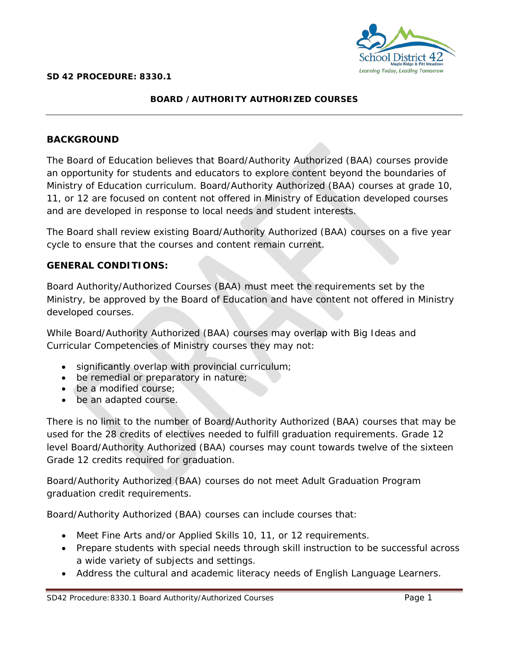

## **BOARD /AUTHORITY AUTHORIZED COURSES**

# **BACKGROUND**

The Board of Education believes that Board/Authority Authorized (BAA) courses provide an opportunity for students and educators to explore content beyond the boundaries of Ministry of Education curriculum. Board/Authority Authorized (BAA) courses at grade 10, 11, or 12 are focused on content not offered in Ministry of Education developed courses and are developed in response to local needs and student interests.

The Board shall review existing Board/Authority Authorized (BAA) courses on a five year cycle to ensure that the courses and content remain current.

## **GENERAL CONDITIONS:**

Board Authority/Authorized Courses (BAA) must meet the requirements set by the Ministry, be approved by the Board of Education and have content not offered in Ministry developed courses.

While Board/Authority Authorized (BAA) courses may overlap with Big Ideas and Curricular Competencies of Ministry courses they may not:

- significantly overlap with provincial curriculum;
- be remedial or preparatory in nature;
- be a modified course;
- be an adapted course.

There is no limit to the number of Board/Authority Authorized (BAA) courses that may be used for the 28 credits of electives needed to fulfill graduation requirements. Grade 12 level Board/Authority Authorized (BAA) courses may count towards twelve of the sixteen Grade 12 credits required for graduation.

Board/Authority Authorized (BAA) courses do not meet Adult Graduation Program graduation credit requirements.

Board/Authority Authorized (BAA) courses can include courses that:

- Meet Fine Arts and/or Applied Skills 10, 11, or 12 requirements.
- Prepare students with special needs through skill instruction to be successful across a wide variety of subjects and settings.
- Address the cultural and academic literacy needs of English Language Learners.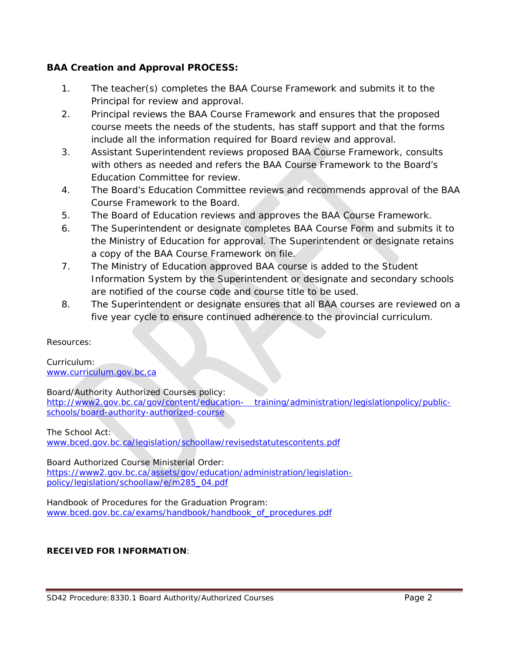# **BAA Creation and Approval PROCESS:**

- 1. The teacher(s) completes the BAA Course Framework and submits it to the Principal for review and approval.
- 2. Principal reviews the BAA Course Framework and ensures that the proposed course meets the needs of the students, has staff support and that the forms include all the information required for Board review and approval.
- 3. Assistant Superintendent reviews proposed BAA Course Framework, consults with others as needed and refers the BAA Course Framework to the Board's Education Committee for review.
- 4. The Board's Education Committee reviews and recommends approval of the BAA Course Framework to the Board.
- 5. The Board of Education reviews and approves the BAA Course Framework.
- 6. The Superintendent or designate completes BAA Course Form and submits it to the Ministry of Education for approval. The Superintendent or designate retains a copy of the BAA Course Framework on file.
- 7. The Ministry of Education approved BAA course is added to the Student Information System by the Superintendent or designate and secondary schools are notified of the course code and course title to be used.
- 8. The Superintendent or designate ensures that all BAA courses are reviewed on a five year cycle to ensure continued adherence to the provincial curriculum.

*Resources:*

*Curriculum: [www.curriculum.gov.bc.ca](http://www.curriculum.gov.bc.ca/)*

*Board/Authority Authorized Courses policy: [http://www2.gov.bc.ca/gov/content/education-](http://www2.gov.bc.ca/gov/content/education-%09training/administration/legislationpolicy/public-schools/board-authority-authorized-course) training/administration/legislationpolicy/public[schools/board-authority-authorized-course](http://www2.gov.bc.ca/gov/content/education-%09training/administration/legislationpolicy/public-schools/board-authority-authorized-course)*

*The School Act:*

*[www.bced.gov.bc.ca/legislation/schoollaw/revisedstatutescontents.pdf](http://www.bced.gov.bc.ca/legislation/schoollaw/revisedstatutescontents.pdf)*

*Board Authorized Course Ministerial Order:*

*[https://www2.gov.bc.ca/assets/gov/education/administration/legislation](https://www2.gov.bc.ca/assets/gov/education/administration/legislation-policy/legislation/schoollaw/e/m285_04.pdf)[policy/legislation/schoollaw/e/m285\\_04.pdf](https://www2.gov.bc.ca/assets/gov/education/administration/legislation-policy/legislation/schoollaw/e/m285_04.pdf)*

*Handbook of Procedures for the Graduation Program: [www.bced.gov.bc.ca/exams/handbook/handbook\\_of\\_procedures.pdf](http://www.bced.gov.bc.ca/exams/handbook/handbook_of_procedures.pdf)*

### **RECEIVED FOR INFORMATION**: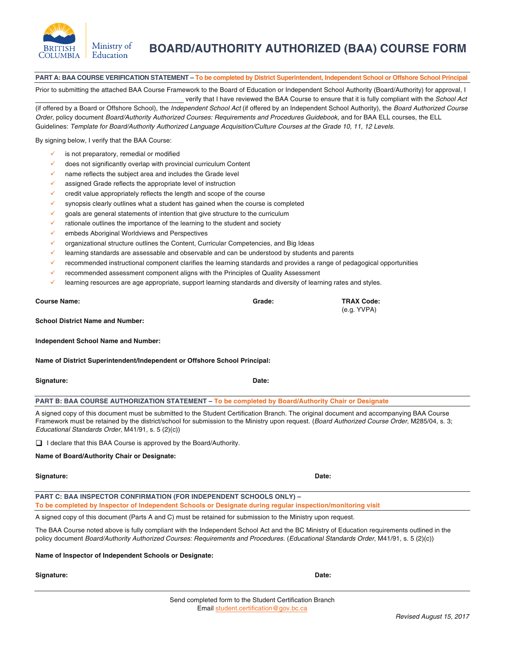

**PART A: BAA COURSE VERIFICATION STATEMENT – To be completed by District Superintendent, Independent School or Offshore School Principal**

**BOARD/AUTHORITY AUTHORIZED (BAA) COURSE FORM**

Prior to submitting the attached BAA Course Framework to the Board of Education or Independent School Authority (Board/Authority) for approval, I verify that I have reviewed the BAA Course to ensure that it is fully compliant with the School Act

(if offered by a Board or Offshore School), the Independent School Act (if offered by an Independent School Authority), the Board Authorized Course Order, policy document Board/Authority Authorized Courses: Requirements and Procedures Guidebook, and for BAA ELL courses, the ELL Guidelines: Template for Board/Authority Authorized Language Acquisition/Culture Courses at the Grade 10, 11, 12 Levels.

By signing below, I verify that the BAA Course:

**BRITISH** 

**COLUMBIA** 

- is not preparatory, remedial or modified
- does not significantly overlap with provincial curriculum Content
- $\checkmark$  name reflects the subject area and includes the Grade level
- assigned Grade reflects the appropriate level of instruction
- credit value appropriately reflects the length and scope of the course
- synopsis clearly outlines what a student has gained when the course is completed
- $\checkmark$  goals are general statements of intention that give structure to the curriculum
- rationale outlines the importance of the learning to the student and society
- embeds Aboriginal Worldviews and Perspectives
- organizational structure outlines the Content, Curricular Competencies, and Big Ideas
- learning standards are assessable and observable and can be understood by students and parents
- $\checkmark$  recommended instructional component clarifies the learning standards and provides a range of pedagogical opportunities
- $\checkmark$  recommended assessment component aligns with the Principles of Quality Assessment
- learning resources are age appropriate, support learning standards and diversity of learning rates and styles.

| <b>Course Name:</b> | Grade: | <b>TRAX Code:</b> |
|---------------------|--------|-------------------|
|                     |        | (e.g. YVPA)       |

**Independent School Name and Number:** 

**School District Name and Number:** 

**Name of District Superintendent/Independent or Offshore School Principal:** 

**Signature:** Date: **Date: Date: Date: Date: Date: Date: Date: Date: Date: Date: Date: Date: Date: Date: Date: Date: Date: Date: Date: Date: Date: Date: Date: Date: Date: Da** 

**PART B: BAA COURSE AUTHORIZATION STATEMENT – To be completed by Board/Authority Chair or Designate**

A signed copy of this document must be submitted to the Student Certification Branch. The original document and accompanying BAA Course Framework must be retained by the district/school for submission to the Ministry upon request. (Board Authorized Course Order, M285/04, s. 3; Educational Standards Order, M41/91, s. 5 (2)(c))

□ I declare that this BAA Course is approved by the Board/Authority.

**Name of Board/Authority Chair or Designate:** 

#### **Signature: Date:**

**PART C: BAA INSPECTOR CONFIRMATION (FOR INDEPENDENT SCHOOLS ONLY) – To be completed by Inspector of Independent Schools or Designate during regular inspection/monitoring visit**

A signed copy of this document (Parts A and C) must be retained for submission to the Ministry upon request.

The BAA Course noted above is fully compliant with the Independent School Act and the BC Ministry of Education requirements outlined in the policy document Board/Authority Authorized Courses: Requirements and Procedures. (Educational Standards Order, M41/91, s. 5 (2)(c))

**Name of Inspector of Independent Schools or Designate:** 

### **Signature:** Date: **Date:**  $\blacksquare$

#### Send completed form to the Student Certification Branch Email student.certification@gov.bc.ca

Ministry of Education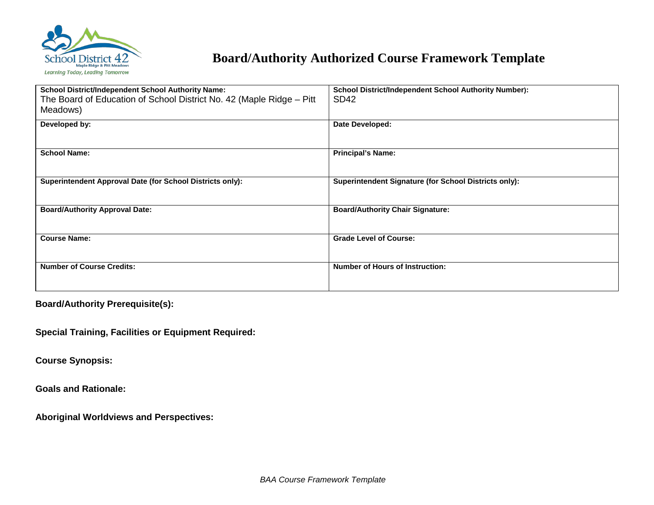

# **Board/Authority Authorized Course Framework Template**

| <b>School District/Independent School Authority Name:</b><br>The Board of Education of School District No. 42 (Maple Ridge - Pitt<br>Meadows) | <b>School District/Independent School Authority Number):</b><br>SD <sub>42</sub> |
|-----------------------------------------------------------------------------------------------------------------------------------------------|----------------------------------------------------------------------------------|
| Developed by:                                                                                                                                 | Date Developed:                                                                  |
| <b>School Name:</b>                                                                                                                           | <b>Principal's Name:</b>                                                         |
| Superintendent Approval Date (for School Districts only):                                                                                     | Superintendent Signature (for School Districts only):                            |
| <b>Board/Authority Approval Date:</b>                                                                                                         | <b>Board/Authority Chair Signature:</b>                                          |
| <b>Course Name:</b>                                                                                                                           | <b>Grade Level of Course:</b>                                                    |
| <b>Number of Course Credits:</b>                                                                                                              | <b>Number of Hours of Instruction:</b>                                           |

**Board/Authority Prerequisite(s):**

**Special Training, Facilities or Equipment Required:**

**Course Synopsis:**

**Goals and Rationale:**

**Aboriginal Worldviews and Perspectives:**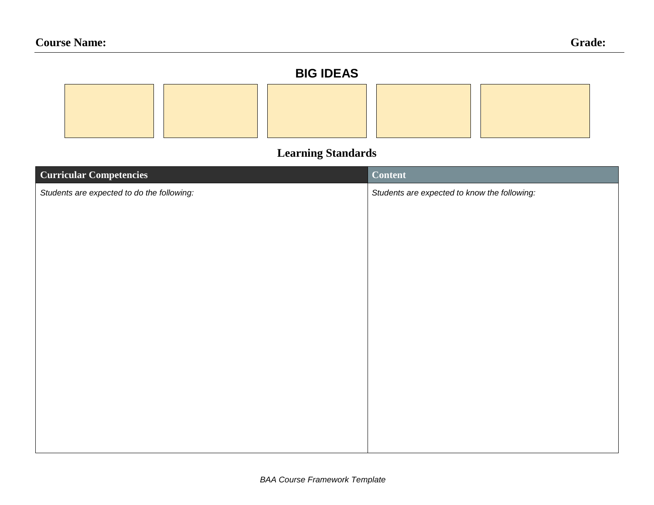# **BIG IDEAS**

# **Learning Standards**

| <b>Curricular Competencies</b>             | <b>Content</b>                               |
|--------------------------------------------|----------------------------------------------|
| Students are expected to do the following: | Students are expected to know the following: |
|                                            |                                              |
|                                            |                                              |
|                                            |                                              |
|                                            |                                              |
|                                            |                                              |
|                                            |                                              |
|                                            |                                              |
|                                            |                                              |
|                                            |                                              |
|                                            |                                              |
|                                            |                                              |
|                                            |                                              |
|                                            |                                              |
|                                            |                                              |
|                                            |                                              |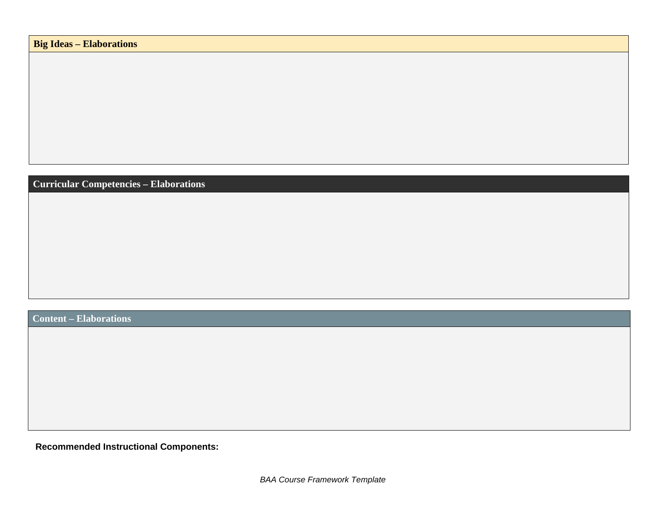**Curricular Competencies – Elaborations**

**Content – Elaborations**

**Recommended Instructional Components:**